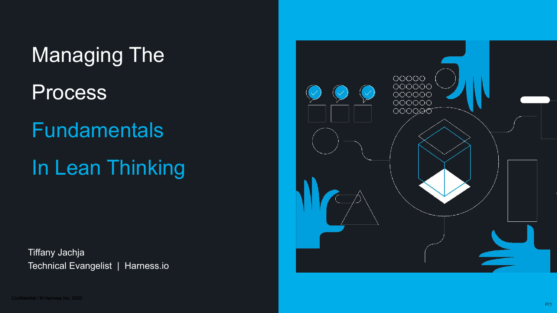Managing The

**Process** 

Fundamentals

In Lean Thinking

Tiffany Jachja Technical Evangelist | Harness.io

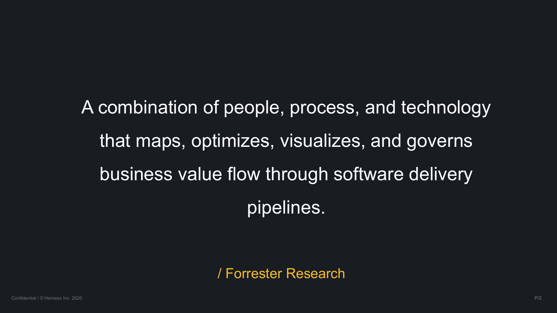A combination of people, process, and technology that maps, optimizes, visualizes, and governs business value flow through software delivery pipelines.

/ Forrester Research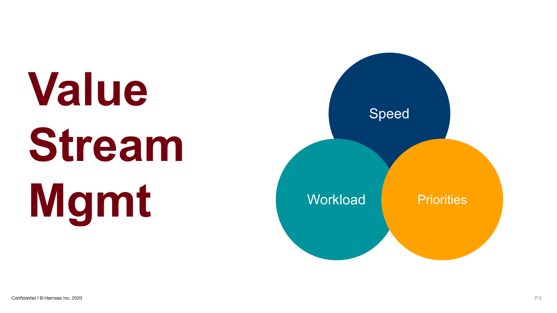**Value Stream Mgmt**

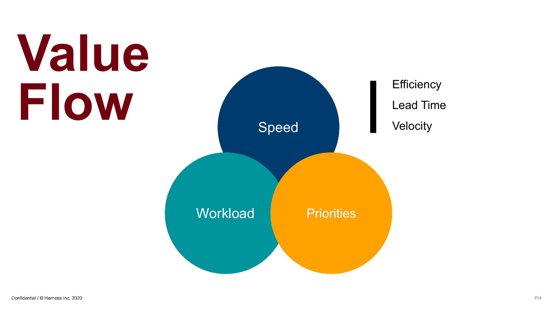**Value** 

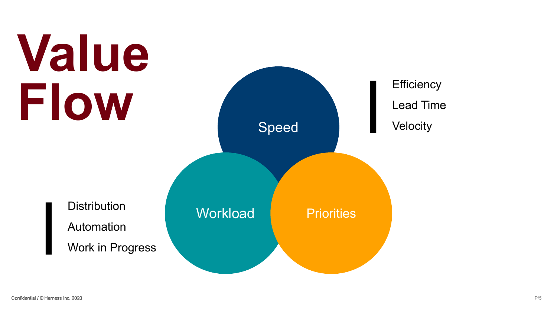**Value FLOW** Speed Velocity Lead Time **Efficiency Distribution** Automation Work in Progress **|** Speed Workload **Priorities**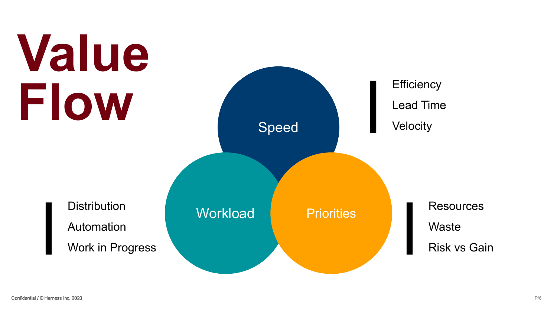**Value FIOW** Speed Velocity Lead Time **Efficiency Distribution** Automation Work in Progress **| Resources Waste** Risk vs Gain **|** Speed Workload **Priorities**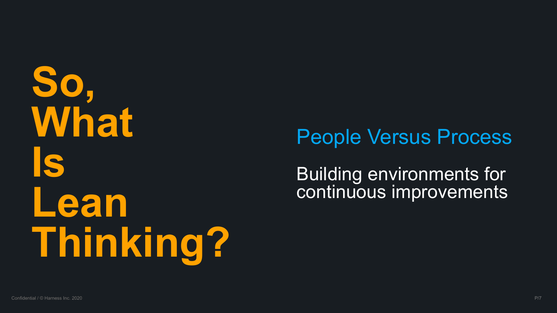**So, What Is Lean Thinking?**

#### People Versus Process

Building environments for continuous improvements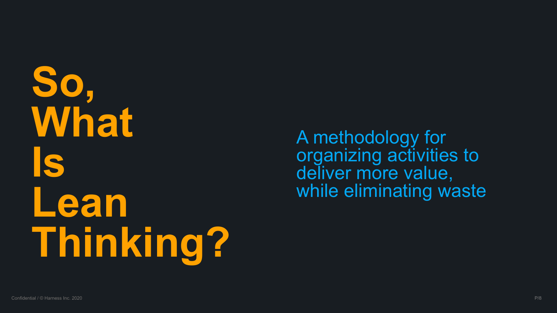**So, What Is Lean Thinking?**

A methodology for organizing activities to deliver more value, while eliminating waste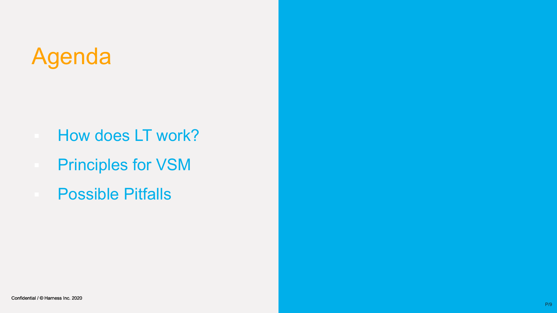### Agenda

- How does LT work?
- **Principles for VSM**
- **Possible Pitfalls**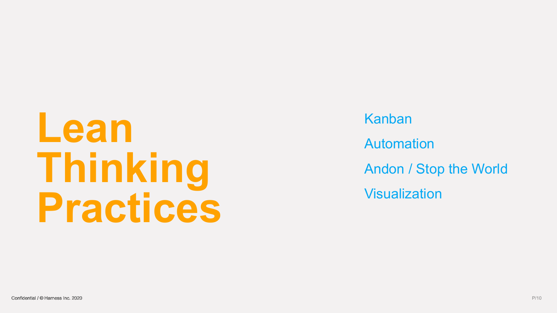### **Lean Thinking Practices**

Kanban Automation Andon / Stop the World Visualization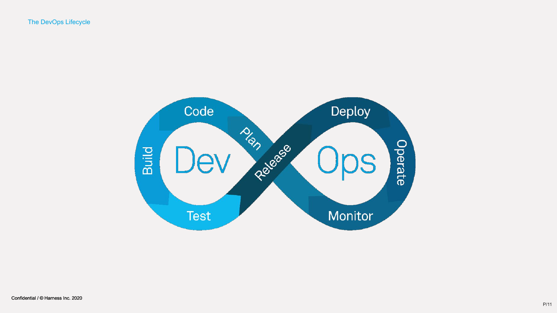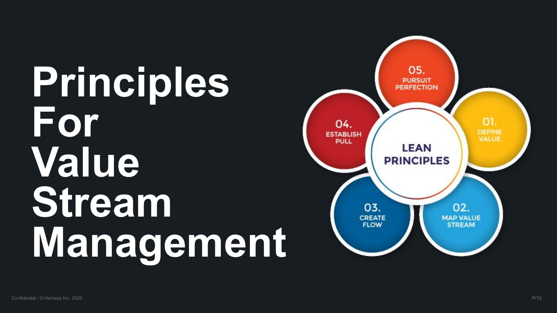**Principles For Value Stream Management**

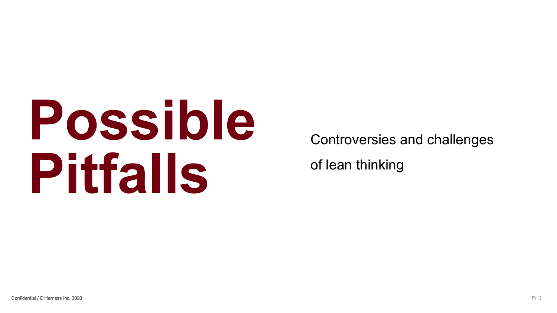## **Possible Pitfalls**

Controversies and challenges of lean thinking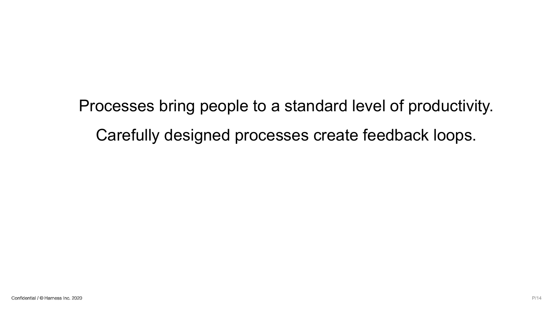Processes bring people to a standard level of productivity. Carefully designed processes create feedback loops.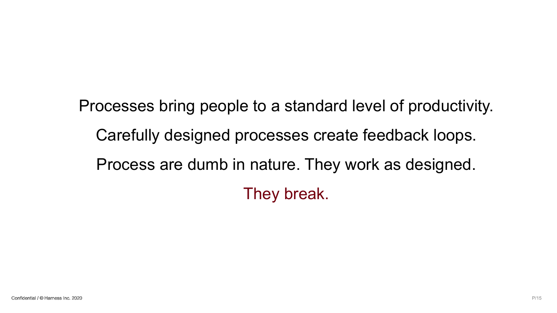Processes bring people to a standard level of productivity. Carefully designed processes create feedback loops. Process are dumb in nature. They work as designed. They break.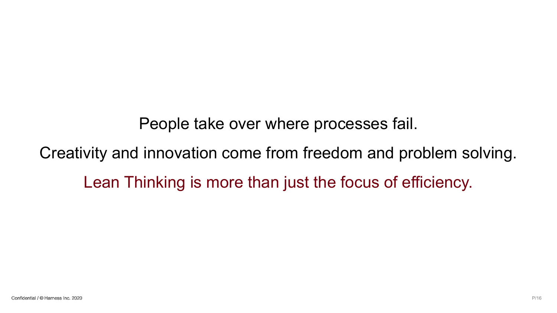People take over where processes fail.

Creativity and innovation come from freedom and problem solving. Lean Thinking is more than just the focus of efficiency.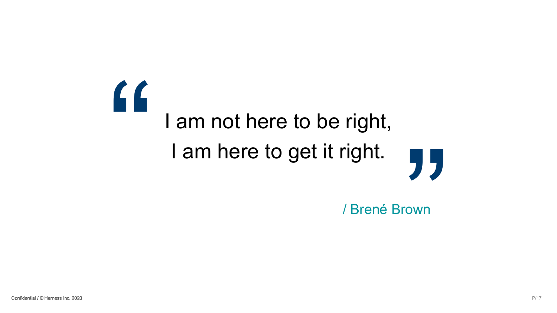### I am not here to be right, I am here to get it right. " "

/ Brené Brown